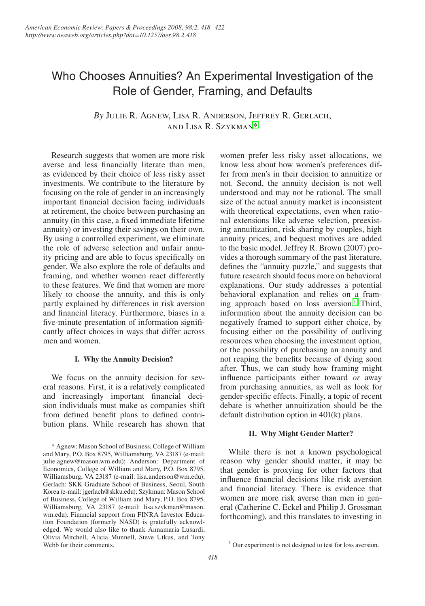# Who Chooses Annuities? An Experimental Investigation of the Role of Gender, Framing, and Defaults

# *By* Julie R. Agnew, Lisa R. Anderson, Jeffrey R. Gerlach, and Lisa R. Szykman\*

Research suggests that women are more risk averse and less financially literate than men, as evidenced by their choice of less risky asset investments. We contribute to the literature by focusing on the role of gender in an increasingly important financial decision facing individuals at retirement, the choice between purchasing an annuity (in this case, a fixed immediate lifetime annuity) or investing their savings on their own. By using a controlled experiment, we eliminate the role of adverse selection and unfair annuity pricing and are able to focus specifically on gender. We also explore the role of defaults and framing, and whether women react differently to these features. We find that women are more likely to choose the annuity, and this is only partly explained by differences in risk aversion and financial literacy. Furthermore, biases in a five-minute presentation of information significantly affect choices in ways that differ across men and women.

### **I. Why the Annuity Decision?**

We focus on the annuity decision for several reasons. First, it is a relatively complicated and increasingly important financial decision individuals must make as companies shift from defined benefit plans to defined contribution plans. While research has shown that

women prefer less risky asset allocations, we know less about how women's preferences differ from men's in their decision to annuitize or not. Second, the annuity decision is not well understood and may not be rational. The small size of the actual annuity market is inconsistent with theoretical expectations, even when rational extensions like adverse selection, preexisting annuitization, risk sharing by couples, high annuity prices, and bequest motives are added to the basic model. Jeffrey R. Brown (2007) provides a thorough summary of the past literature, defines the "annuity puzzle," and suggests that future research should focus more on behavioral explanations. Our study addresses a potential behavioral explanation and relies on a framing approach based on loss aversion. Third, information about the annuity decision can be negatively framed to support either choice, by focusing either on the possibility of outliving resources when choosing the investment option, or the possibility of purchasing an annuity and not reaping the benefits because of dying soon after. Thus, we can study how framing might influence participants either toward *or* away from purchasing annuities, as well as look for gender-specific effects. Finally, a topic of recent debate is whether annuitization should be the default distribution option in 401(k) plans.

#### **II. Why Might Gender Matter?**

While there is not a known psychological reason why gender should matter, it may be that gender is proxying for other factors that influence financial decisions like risk aversion and financial literacy. There is evidence that women are more risk averse than men in general (Catherine C. Eckel and Philip J. Grossman forthcoming), and this translates to investing in

<sup>\*</sup> Agnew: Mason School of Business, College of William and Mary, P.O. Box 8795, Williamsburg, VA 23187 (e-mail: julie.agnew@mason.wm.edu); Anderson: Department of Economics, College of William and Mary, P.O. Box 8795, Williamsburg, VA 23187 (e-mail: lisa.anderson@wm.edu); Gerlach: SKK Graduate School of Business, Seoul, South Korea (e-mail: jgerlach@skku.edu); Szykman: Mason School of Business, College of William and Mary, P.O. Box 8795, Williamsburg, VA 23187 (e-mail: lisa.szykman@mason. wm.edu). Financial support from FINRA Investor Education Foundation (formerly NASD) is gratefully acknowledged. We would also like to thank Annamaria Lusardi, Olivia Mitchell, Alicia Munnell, Steve Utkus, and Tony Webb for their comments.

<sup>&</sup>lt;sup>1</sup> Our experiment is not designed to test for loss aversion.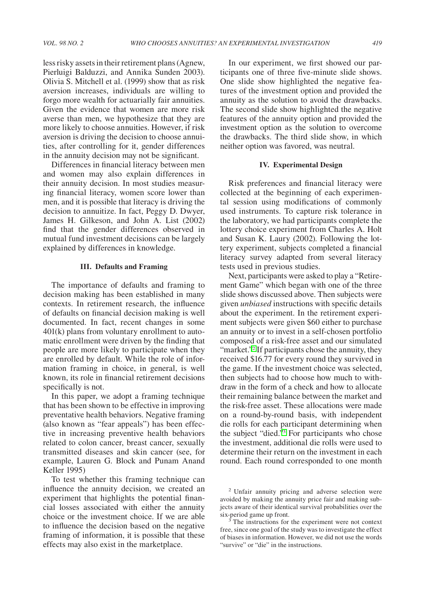less risky assets in their retirement plans (Agnew, Pierluigi Balduzzi, and Annika Sunden 2003). Olivia S. Mitchell et al. (1999) show that as risk aversion increases, individuals are willing to forgo more wealth for actuarially fair annuities. Given the evidence that women are more risk averse than men, we hypothesize that they are more likely to choose annuities. However, if risk aversion is driving the decision to choose annuities, after controlling for it, gender differences in the annuity decision may not be significant.

Differences in financial literacy between men and women may also explain differences in their annuity decision. In most studies measuring financial literacy, women score lower than men, and it is possible that literacy is driving the decision to annuitize. In fact, Peggy D. Dwyer, James H. Gilkeson, and John A. List (2002) find that the gender differences observed in mutual fund investment decisions can be largely explained by differences in knowledge.

#### **III. Defaults and Framing**

The importance of defaults and framing to decision making has been established in many contexts. In retirement research, the influence of defaults on financial decision making is well documented. In fact, recent changes in some 401(k) plans from voluntary enrollment to automatic enrollment were driven by the finding that people are more likely to participate when they are enrolled by default. While the role of information framing in choice, in general, is well known, its role in financial retirement decisions specifically is not.

In this paper, we adopt a framing technique that has been shown to be effective in improving preventative health behaviors. Negative framing (also known as "fear appeals") has been effective in increasing preventive health behaviors related to colon cancer, breast cancer, sexually transmitted diseases and skin cancer (see, for example, Lauren G. Block and Punam Anand Keller 1995)

To test whether this framing technique can influence the annuity decision, we created an experiment that highlights the potential financial losses associated with either the annuity choice or the investment choice. If we are able to influence the decision based on the negative framing of information, it is possible that these effects may also exist in the marketplace.

In our experiment, we first showed our participants one of three five-minute slide shows. One slide show highlighted the negative features of the investment option and provided the annuity as the solution to avoid the drawbacks. The second slide show highlighted the negative features of the annuity option and provided the investment option as the solution to overcome the drawbacks. The third slide show, in which neither option was favored, was neutral.

#### **IV. Experimental Design**

Risk preferences and financial literacy were collected at the beginning of each experimental session using modifications of commonly used instruments. To capture risk tolerance in the laboratory, we had participants complete the lottery choice experiment from Charles A. Holt and Susan K. Laury (2002). Following the lottery experiment, subjects completed a financial literacy survey adapted from several literacy tests used in previous studies.

Next, participants were asked to play a "Retirement Game" which began with one of the three slide shows discussed above. Then subjects were given *unbiased* instructions with specific details about the experiment. In the retirement experiment subjects were given \$60 either to purchase an annuity or to invest in a self-chosen portfolio composed of a risk-free asset and our simulated "market."<sup>2</sup> If participants chose the annuity, they received \$16.77 for every round they survived in the game. If the investment choice was selected, then subjects had to choose how much to withdraw in the form of a check and how to allocate their remaining balance between the market and the risk-free asset. These allocations were made on a round-by-round basis, with independent die rolls for each participant determining when the subject "died." For participants who chose the investment, additional die rolls were used to determine their return on the investment in each round. Each round corresponded to one month

<sup>&</sup>lt;sup>2</sup> Unfair annuity pricing and adverse selection were avoided by making the annuity price fair and making subjects aware of their identical survival probabilities over the six-period game up front.

The instructions for the experiment were not context free, since one goal of the study was to investigate the effect of biases in information. However, we did not use the words "survive" or "die" in the instructions.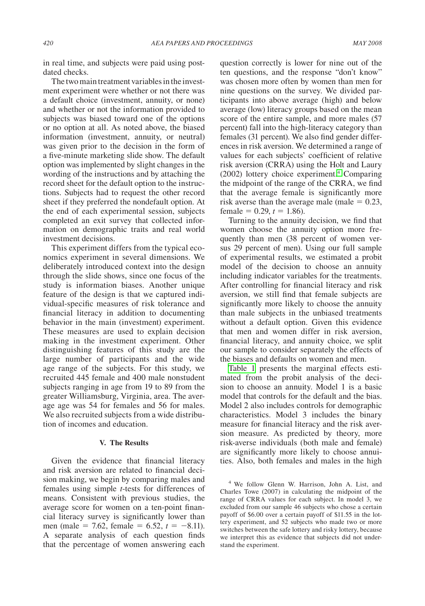in real time, and subjects were paid using postdated checks.

The two main treatment variables in the investment experiment were whether or not there was a default choice (investment, annuity, or none) and whether or not the information provided to subjects was biased toward one of the options or no option at all. As noted above, the biased information (investment, annuity, or neutral) was given prior to the decision in the form of a five-minute marketing slide show. The default option was implemented by slight changes in the wording of the instructions and by attaching the record sheet for the default option to the instructions. Subjects had to request the other record sheet if they preferred the nondefault option. At the end of each experimental session, subjects completed an exit survey that collected information on demographic traits and real world investment decisions.

This experiment differs from the typical economics experiment in several dimensions. We deliberately introduced context into the design through the slide shows, since one focus of the study is information biases. Another unique feature of the design is that we captured individual-specific measures of risk tolerance and financial literacy in addition to documenting behavior in the main (investment) experiment. These measures are used to explain decision making in the investment experiment. Other distinguishing features of this study are the large number of participants and the wide age range of the subjects. For this study, we recruited 445 female and 400 male nonstudent subjects ranging in age from 19 to 89 from the greater Williamsburg, Virginia, area. The average age was 54 for females and 56 for males. We also recruited subjects from a wide distribution of incomes and education.

#### **V. The Results**

Given the evidence that financial literacy and risk aversion are related to financial decision making, we begin by comparing males and females using simple *t*-tests for differences of means. Consistent with previous studies, the average score for women on a ten-point financial literacy survey is significantly lower than men (male = 7.62, female = 6.52,  $t = -8.11$ ). A separate analysis of each question finds that the percentage of women answering each

question correctly is lower for nine out of the ten questions, and the response "don't know" was chosen more often by women than men for nine questions on the survey. We divided participants into above average (high) and below average (low) literacy groups based on the mean score of the entire sample, and more males (57 percent) fall into the high-literacy category than females (31 percent). We also find gender differences in risk aversion. We determined a range of values for each subjects' coefficient of relative risk aversion (CRRA) using the Holt and Laury (2002) lottery choice experiment.<sup>4</sup> Comparing the midpoint of the range of the CRRA, we find that the average female is significantly more risk averse than the average male (male  $= 0.23$ , female =  $0.29$ ,  $t = 1.86$ ).

Turning to the annuity decision, we find that women choose the annuity option more frequently than men (38 percent of women versus 29 percent of men). Using our full sample of experimental results, we estimated a probit model of the decision to choose an annuity including indicator variables for the treatments. After controlling for financial literacy and risk aversion, we still find that female subjects are significantly more likely to choose the annuity than male subjects in the unbiased treatments without a default option. Given this evidence that men and women differ in risk aversion, financial literacy, and annuity choice, we split our sample to consider separately the effects of the biases and defaults on women and men.

[Table 1](#page-3-0) presents the marginal effects estimated from the probit analysis of the decision to choose an annuity. Model 1 is a basic model that controls for the default and the bias. Model 2 also includes controls for demographic characteristics. Model 3 includes the binary measure for financial literacy and the risk aversion measure. As predicted by theory, more risk-averse individuals (both male and female) are significantly more likely to choose annuities. Also, both females and males in the high

We follow Glenn W. Harrison, John A. List, and Charles Towe (2007) in calculating the midpoint of the range of CRRA values for each subject. In model 3, we excluded from our sample 46 subjects who chose a certain payoff of \$6.00 over a certain payoff of \$11.55 in the lottery experiment, and 52 subjects who made two or more switches between the safe lottery and risky lottery, because we interpret this as evidence that subjects did not understand the experiment.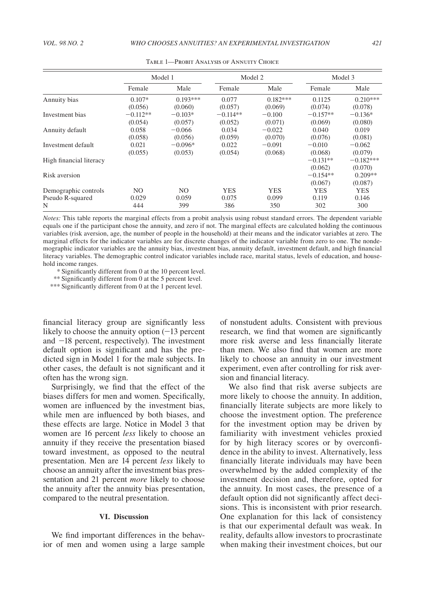<span id="page-3-0"></span>

|                         | Model 1    |            | Model 2    |            | Model 3    |             |
|-------------------------|------------|------------|------------|------------|------------|-------------|
|                         | Female     | Male       | Female     | Male       | Female     | Male        |
| Annuity bias            | $0.107*$   | $0.193***$ | 0.077      | $0.182***$ | 0.1125     | $0.210***$  |
|                         | (0.056)    | (0.060)    | (0.057)    | (0.069)    | (0.074)    | (0.078)     |
| Investment bias         | $-0.112**$ | $-0.103*$  | $-0.114**$ | $-0.100$   | $-0.157**$ | $-0.136*$   |
|                         | (0.054)    | (0.057)    | (0.052)    | (0.071)    | (0.069)    | (0.080)     |
| Annuity default         | 0.058      | $-0.066$   | 0.034      | $-0.022$   | 0.040      | 0.019       |
|                         | (0.058)    | (0.056)    | (0.059)    | (0.070)    | (0.076)    | (0.081)     |
| Investment default      | 0.021      | $-0.096*$  | 0.022      | $-0.091$   | $-0.010$   | $-0.062$    |
|                         | (0.055)    | (0.053)    | (0.054)    | (0.068)    | (0.068)    | (0.079)     |
| High financial literacy |            |            |            |            | $-0.131**$ | $-0.182***$ |
|                         |            |            |            |            | (0.062)    | (0.070)     |
| Risk aversion           |            |            |            |            | $-0.154**$ | $0.209**$   |
|                         |            |            |            |            | (0.067)    | (0.087)     |
| Demographic controls    | NO.        | NO.        | <b>YES</b> | <b>YES</b> | <b>YES</b> | <b>YES</b>  |
| Pseudo R-squared        | 0.029      | 0.059      | 0.075      | 0.099      | 0.119      | 0.146       |
| N                       | 444        | 399        | 386        | 350        | 302        | 300         |

TABLE 1—PROBIT ANALYSIS OF ANNUITY CHOICE

*Notes:* This table reports the marginal effects from a probit analysis using robust standard errors. The dependent variable equals one if the participant chose the annuity, and zero if not. The marginal effects are calculated holding the continuous variables (risk aversion, age, the number of people in the household) at their means and the indicator variables at zero. The marginal effects for the indicator variables are for discrete changes of the indicator variable from zero to one. The nondemographic indicator variables are the annuity bias, investment bias, annuity default, investment default, and high financial literacy variables. The demographic control indicator variables include race, marital status, levels of education, and household income ranges.

 *\** Significantly different from 0 at the 10 percent level.

 *\*\** Significantly different from 0 at the 5 percent level.

*\*\*\** Significantly different from 0 at the 1 percent level.

financial literacy group are significantly less likely to choose the annuity option  $(-13)$  percent and  $-18$  percent, respectively). The investment default option is significant and has the predicted sign in Model 1 for the male subjects. In other cases, the default is not significant and it often has the wrong sign.

Surprisingly, we find that the effect of the biases differs for men and women. Specifically, women are influenced by the investment bias, while men are influenced by both biases, and these effects are large. Notice in Model 3 that women are 16 percent *less* likely to choose an annuity if they receive the presentation biased toward investment, as opposed to the neutral presentation. Men are 14 percent *less* likely to choose an annuity after the investment bias pressentation and 21 percent *more* likely to choose the annuity after the annuity bias presentation, compared to the neutral presentation.

#### **VI. Discussion**

We find important differences in the behavior of men and women using a large sample of nonstudent adults. Consistent with previous research, we find that women are significantly more risk averse and less financially literate than men. We also find that women are more likely to choose an annuity in our investment experiment, even after controlling for risk aversion and financial literacy.

We also find that risk averse subjects are more likely to choose the annuity. In addition, financially literate subjects are more likely to choose the investment option. The preference for the investment option may be driven by familiarity with investment vehicles proxied for by high literacy scores or by overconfidence in the ability to invest. Alternatively, less financially literate individuals may have been overwhelmed by the added complexity of the investment decision and, therefore, opted for the annuity. In most cases, the presence of a default option did not significantly affect decisions. This is inconsistent with prior research. One explanation for this lack of consistency is that our experimental default was weak. In reality, defaults allow investors to procrastinate when making their investment choices, but our